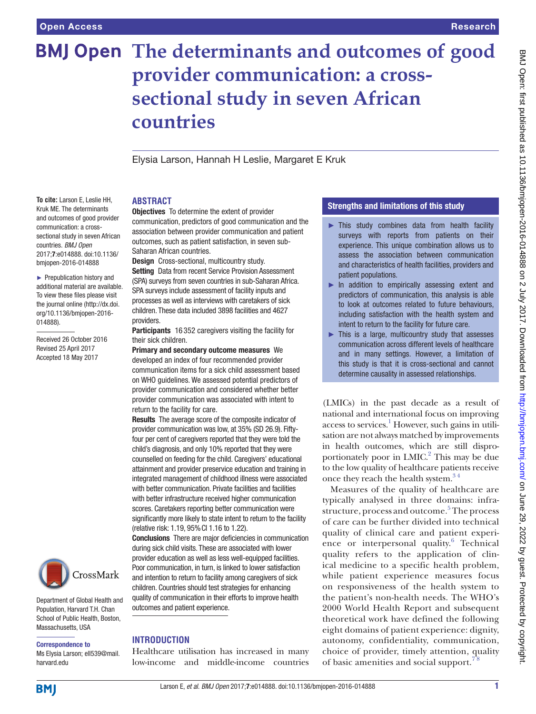**To cite:** Larson E, Leslie HH, Kruk ME. The determinants and outcomes of good provider communication: a crosssectional study in seven African countries. *BMJ Open* 2017;7:e014888. doi:10.1136/ bmjopen-2016-014888 ► Prepublication history and additional material are available. To view these files please visit the journal online [\(http://dx.doi.](http://dx.doi.org/10.1136/bmjopen-2016-014888) [org/10.1136/bmjopen-2016-](http://dx.doi.org/10.1136/bmjopen-2016-014888)

[014888\)](http://dx.doi.org/10.1136/bmjopen-2016-014888).

Received 26 October 2016 Revised 25 April 2017 Accepted 18 May 2017

# **BMJ Open The determinants and outcomes of good provider communication: a crosssectional study in seven African countries**

Elysia Larson, Hannah H Leslie, Margaret E Kruk

### **Abstract**

**Objectives** To determine the extent of provider communication, predictors of good communication and the association between provider communication and patient outcomes, such as patient satisfaction, in seven sub-Saharan African countries.

Design Cross-sectional, multicountry study. **Setting** Data from recent Service Provision Assessment (SPA) surveys from seven countries in sub-Saharan Africa. SPA surveys include assessment of facility inputs and processes as well as interviews with caretakers of sick children. These data included 3898 facilities and 4627 providers.

Participants 16352 caregivers visiting the facility for their sick children.

Primary and secondary outcome measures We developed an index of four recommended provider communication items for a sick child assessment based on WHO guidelines. We assessed potential predictors of provider communication and considered whether better provider communication was associated with intent to return to the facility for care.

Results The average score of the composite indicator of provider communication was low, at 35% (SD 26.9). Fiftyfour per cent of caregivers reported that they were told the child's diagnosis, and only 10% reported that they were counselled on feeding for the child. Caregivers' educational attainment and provider preservice education and training in integrated management of childhood illness were associated with better communication. Private facilities and facilities with better infrastructure received higher communication scores. Caretakers reporting better communication were significantly more likely to state intent to return to the facility (relative risk: 1.19, 95%CI 1.16 to 1.22).

Conclusions There are major deficiencies in communication during sick child visits. These are associated with lower provider education as well as less well-equipped facilities. Poor communication, in turn, is linked to lower satisfaction and intention to return to facility among caregivers of sick children. Countries should test strategies for enhancing quality of communication in their efforts to improve health outcomes and patient experience.

# **Introduction**

Healthcare utilisation has increased in many low-income and middle-income countries

## Strengths and limitations of this study

- ► This study combines data from health facility surveys with reports from patients on their experience. This unique combination allows us to assess the association between communication and characteristics of health facilities, providers and patient populations.
- ► In addition to empirically assessing extent and predictors of communication, this analysis is able to look at outcomes related to future behaviours, including satisfaction with the health system and intent to return to the facility for future care.
- ► This is a large, multicountry study that assesses communication across different levels of healthcare and in many settings. However, a limitation of this study is that it is cross-sectional and cannot determine causality in assessed relationships.

(LMICs) in the past decade as a result of national and international focus on improving access to services.<sup>1</sup> However, such gains in utilisation are not always matched by improvements in health outcomes, which are still dispro-portionately poor in LMIC.<sup>[2](#page-7-1)</sup> This may be due to the low quality of healthcare patients receive once they reach the health system.<sup>34</sup>

Measures of the quality of healthcare are typically analysed in three domains: infra-structure, process and outcome.<sup>[5](#page-7-3)</sup> The process of care can be further divided into technical quality of clinical care and patient experi-ence or interpersonal quality.<sup>[6](#page-7-4)</sup> Technical quality refers to the application of clinical medicine to a specific health problem, while patient experience measures focus on responsiveness of the health system to the patient's non-health needs. The WHO's 2000 World Health Report and subsequent theoretical work have defined the following eight domains of patient experience: dignity, autonomy, confidentiality, communication, choice of provider, timely attention, quality of basic amenities and social support.<sup>7</sup>

School of Public Health, Boston, Massachusetts, USA

Correspondence to Ms Elysia Larson; ell539@mail. harvard.edu

Department of Global Health and Population, Harvard T.H. Chan

CrossMark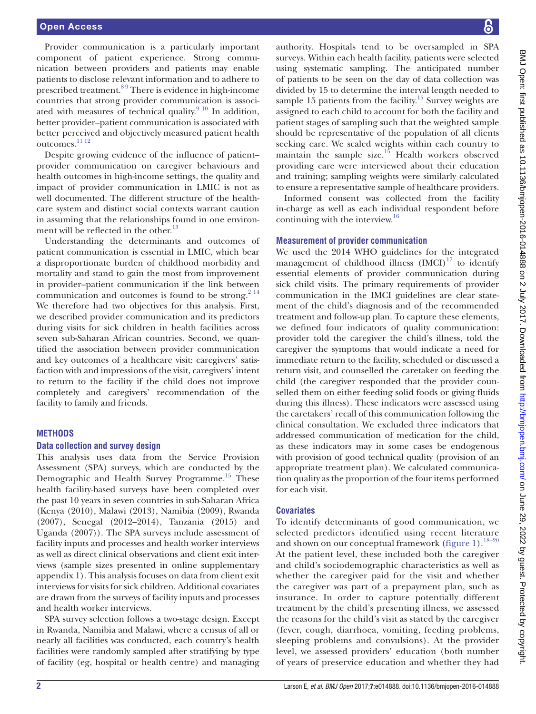Provider communication is a particularly important component of patient experience. Strong communication between providers and patients may enable patients to disclose relevant information and to adhere to prescribed treatment.<sup>89</sup> There is evidence in high-income countries that strong provider communication is associated with measures of technical quality. $9^{10}$  In addition, better provider–patient communication is associated with better perceived and objectively measured patient health outcomes.<sup>[11 12](#page-7-8)</sup>

Despite growing evidence of the influence of patient– provider communication on caregiver behaviours and health outcomes in high-income settings, the quality and impact of provider communication in LMIC is not as well documented. The different structure of the healthcare system and distinct social contexts warrant caution in assuming that the relationships found in one environ-ment will be reflected in the other.<sup>[13](#page-7-9)</sup>

Understanding the determinants and outcomes of patient communication is essential in LMIC, which bear a disproportionate burden of childhood morbidity and mortality and stand to gain the most from improvement in provider–patient communication if the link between communication and outcomes is found to be strong.<sup>[2 14](#page-7-1)</sup> We therefore had two objectives for this analysis. First, we described provider communication and its predictors during visits for sick children in health facilities across seven sub-Saharan African countries. Second, we quantified the association between provider communication and key outcomes of a healthcare visit: caregivers' satisfaction with and impressions of the visit, caregivers' intent to return to the facility if the child does not improve completely and caregivers' recommendation of the facility to family and friends.

#### **Methods**

#### **Data collection and survey design**

This analysis uses data from the Service Provision Assessment (SPA) surveys, which are conducted by the Demographic and Health Survey Programme.<sup>15</sup> These health facility-based surveys have been completed over the past 10 years in seven countries in sub-Saharan Africa (Kenya (2010), Malawi (2013), Namibia (2009), Rwanda (2007), Senegal (2012–2014), Tanzania (2015) and Uganda (2007)). The SPA surveys include assessment of facility inputs and processes and health worker interviews as well as direct clinical observations and client exit interviews (sample sizes presented in online supplementary [appendix 1](https://dx.doi.org/10.1136/bmjopen-2016-014888)). This analysis focuses on data from client exit interviews for visits for sick children. Additional covariates are drawn from the surveys of facility inputs and processes and health worker interviews.

SPA survey selection follows a two-stage design. Except in Rwanda, Namibia and Malawi, where a census of all or nearly all facilities was conducted, each country's health facilities were randomly sampled after stratifying by type of facility (eg, hospital or health centre) and managing

authority. Hospitals tend to be oversampled in SPA surveys. Within each health facility, patients were selected using systematic sampling. The anticipated number of patients to be seen on the day of data collection was divided by 15 to determine the interval length needed to sample [15](#page-7-10) patients from the facility.<sup>15</sup> Survey weights are assigned to each child to account for both the facility and patient stages of sampling such that the weighted sample should be representative of the population of all clients seeking care. We scaled weights within each country to maintain the sample size. $15$  Health workers observed providing care were interviewed about their education and training; sampling weights were similarly calculated to ensure a representative sample of healthcare providers.

Informed consent was collected from the facility in-charge as well as each individual respondent before continuing with the interview.<sup>[16](#page-7-11)</sup>

#### **Measurement of provider communication**

We used the 2014 WHO guidelines for the integrated management of childhood illness  $(MCI)^{17}$  to identify essential elements of provider communication during sick child visits. The primary requirements of provider communication in the IMCI guidelines are clear statement of the child's diagnosis and of the recommended treatment and follow-up plan. To capture these elements, we defined four indicators of quality communication: provider told the caregiver the child's illness, told the caregiver the symptoms that would indicate a need for immediate return to the facility, scheduled or discussed a return visit, and counselled the caretaker on feeding the child (the caregiver responded that the provider counselled them on either feeding solid foods or giving fluids during this illness). These indicators were assessed using the caretakers' recall of this communication following the clinical consultation. We excluded three indicators that addressed communication of medication for the child, as these indicators may in some cases be endogenous with provision of good technical quality (provision of an appropriate treatment plan). We calculated communication quality as the proportion of the four items performed for each visit.

#### **Covariates**

To identify determinants of good communication, we selected predictors identified using recent literature and shown on our conceptual framework ([figure](#page-2-0) 1).<sup>18-20</sup> At the patient level, these included both the caregiver and child's sociodemographic characteristics as well as whether the caregiver paid for the visit and whether the caregiver was part of a prepayment plan, such as insurance. In order to capture potentially different treatment by the child's presenting illness, we assessed the reasons for the child's visit as stated by the caregiver (fever, cough, diarrhoea, vomiting, feeding problems, sleeping problems and convulsions). At the provider level, we assessed providers' education (both number of years of preservice education and whether they had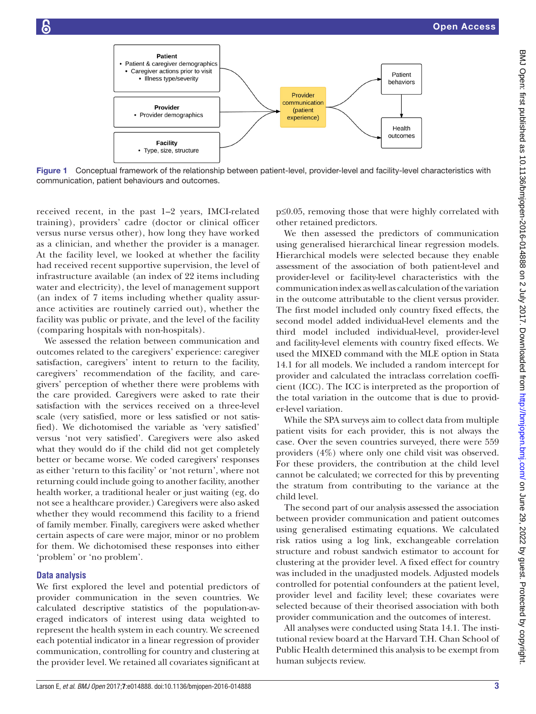

Figure 1 Conceptual framework of the relationship between patient-level, provider-level and facility-level characteristics with communication, patient behaviours and outcomes.

received recent, in the past 1–2 years, IMCI-related training), providers' cadre (doctor or clinical officer versus nurse versus other), how long they have worked as a clinician, and whether the provider is a manager. At the facility level, we looked at whether the facility had received recent supportive supervision, the level of infrastructure available (an index of 22 items including water and electricity), the level of management support (an index of 7 items including whether quality assurance activities are routinely carried out), whether the facility was public or private, and the level of the facility (comparing hospitals with non-hospitals).

We assessed the relation between communication and outcomes related to the caregivers' experience: caregiver satisfaction, caregivers' intent to return to the facility, caregivers' recommendation of the facility, and caregivers' perception of whether there were problems with the care provided. Caregivers were asked to rate their satisfaction with the services received on a three-level scale (very satisfied, more or less satisfied or not satisfied). We dichotomised the variable as 'very satisfied' versus 'not very satisfied'. Caregivers were also asked what they would do if the child did not get completely better or became worse. We coded caregivers' responses as either 'return to this facility' or 'not return', where not returning could include going to another facility, another health worker, a traditional healer or just waiting (eg, do not see a healthcare provider.) Caregivers were also asked whether they would recommend this facility to a friend of family member. Finally, caregivers were asked whether certain aspects of care were major, minor or no problem for them. We dichotomised these responses into either 'problem' or 'no problem'.

### **Data analysis**

We first explored the level and potential predictors of provider communication in the seven countries. We calculated descriptive statistics of the population-averaged indicators of interest using data weighted to represent the health system in each country. We screened each potential indicator in a linear regression of provider communication, controlling for country and clustering at the provider level. We retained all covariates significant at

<span id="page-2-0"></span>p≤0.05, removing those that were highly correlated with other retained predictors.

We then assessed the predictors of communication using generalised hierarchical linear regression models. Hierarchical models were selected because they enable assessment of the association of both patient-level and provider-level or facility-level characteristics with the communication index as well as calculation of the variation in the outcome attributable to the client versus provider. The first model included only country fixed effects, the second model added individual-level elements and the third model included individual-level, provider-level and facility-level elements with country fixed effects. We used the MIXED command with the MLE option in Stata 14.1 for all models. We included a random intercept for provider and calculated the intraclass correlation coefficient (ICC). The ICC is interpreted as the proportion of the total variation in the outcome that is due to provider-level variation.

While the SPA surveys aim to collect data from multiple patient visits for each provider, this is not always the case. Over the seven countries surveyed, there were 559 providers (4%) where only one child visit was observed. For these providers, the contribution at the child level cannot be calculated; we corrected for this by preventing the stratum from contributing to the variance at the child level.

The second part of our analysis assessed the association between provider communication and patient outcomes using generalised estimating equations. We calculated risk ratios using a log link, exchangeable correlation structure and robust sandwich estimator to account for clustering at the provider level. A fixed effect for country was included in the unadjusted models. Adjusted models controlled for potential confounders at the patient level, provider level and facility level; these covariates were selected because of their theorised association with both provider communication and the outcomes of interest.

All analyses were conducted using Stata 14.1. The institutional review board at the Harvard T.H. Chan School of Public Health determined this analysis to be exempt from human subjects review.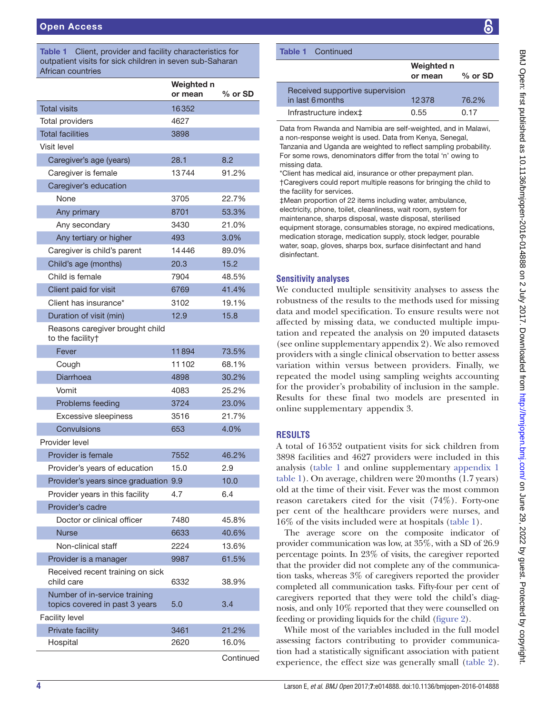<span id="page-3-0"></span>Table 1 Client, provider and facility characteristics for outpatient visits for sick children in seven sub-Saharan African countries

|                                                                 | Weighted n<br>or mean | $%$ or SD |
|-----------------------------------------------------------------|-----------------------|-----------|
| <b>Total visits</b>                                             | 16352                 |           |
| <b>Total providers</b>                                          | 4627                  |           |
| <b>Total facilities</b>                                         | 3898                  |           |
| Visit level                                                     |                       |           |
| Caregiver's age (years)                                         | 28.1                  | 8.2       |
| Caregiver is female                                             | 13744                 | 91.2%     |
| Caregiver's education                                           |                       |           |
| None                                                            | 3705                  | 22.7%     |
| Any primary                                                     | 8701                  | 53.3%     |
| Any secondary                                                   | 3430                  | 21.0%     |
| Any tertiary or higher                                          | 493                   | 3.0%      |
| Caregiver is child's parent                                     | 14446                 | 89.0%     |
| Child's age (months)                                            | 20.3                  | 15.2      |
| Child is female                                                 | 7904                  | 48.5%     |
| Client paid for visit                                           | 6769                  | 41.4%     |
| Client has insurance*                                           | 3102                  | 19.1%     |
| Duration of visit (min)                                         | 12.9                  | 15.8      |
| Reasons caregiver brought child<br>to the facility†             |                       |           |
| Fever                                                           | 11894                 | 73.5%     |
| Cough                                                           | 11102                 | 68.1%     |
| <b>Diarrhoea</b>                                                | 4898                  | 30.2%     |
| Vomit                                                           | 4083                  | 25.2%     |
| Problems feeding                                                | 3724                  | 23.0%     |
| Excessive sleepiness                                            | 3516                  | 21.7%     |
| Convulsions                                                     | 653                   | 4.0%      |
| Provider level                                                  |                       |           |
| Provider is female                                              | 7552                  | 46.2%     |
| Provider's years of education                                   | 15.0                  | 2.9       |
| Provider's years since graduation                               | 9.9                   | 10.0      |
| Provider years in this facility                                 | 4.7                   | 6.4       |
| Provider's cadre                                                |                       |           |
| Doctor or clinical officer                                      | 7480                  | 45.8%     |
| <b>Nurse</b>                                                    | 6633                  | 40.6%     |
| Non-clinical staff                                              | 2224                  | 13.6%     |
| Provider is a manager                                           | 9987                  | 61.5%     |
| Received recent training on sick<br>child care                  | 6332                  | 38.9%     |
| Number of in-service training<br>topics covered in past 3 years | 5.0                   | 3.4       |
| <b>Facility level</b>                                           |                       |           |
| Private facility                                                | 3461                  | 21.2%     |
| Hospital                                                        | 2620                  | 16.0%     |
|                                                                 |                       | Continued |

|                                                                                                                                                                                                                                                                                                                                                                                                                           | Weighted n<br>or mean | $%$ or SD |
|---------------------------------------------------------------------------------------------------------------------------------------------------------------------------------------------------------------------------------------------------------------------------------------------------------------------------------------------------------------------------------------------------------------------------|-----------------------|-----------|
| Received supportive supervision<br>in last 6 months                                                                                                                                                                                                                                                                                                                                                                       | 12378                 | 76.2%     |
| Infrastructure index‡                                                                                                                                                                                                                                                                                                                                                                                                     | 0.55                  | 0.17      |
| Data from Rwanda and Namibia are self-weighted, and in Malawi,<br>a non-response weight is used. Data from Kenya, Senegal,<br>Tanzania and Uganda are weighted to reflect sampling probability.<br>For some rows, denominators differ from the total 'n' owing to<br>missing data.<br>*Client has medical aid, insurance or other prepayment plan.<br>+Caronivers could report multiple reasons for bringing the child to |                       |           |

†Caregivers could report multiple reasons for bringing the child to the facility for services.

‡Mean proportion of 22 items including water, ambulance, electricity, phone, toilet, cleanliness, wait room, system for maintenance, sharps disposal, waste disposal, sterilised equipment storage, consumables storage, no expired medications, medication storage, medication supply, stock ledger, pourable water, soap, gloves, sharps box, surface disinfectant and hand disinfectant.

# **Sensitivity analyses**

Table 1 Continued

We conducted multiple sensitivity analyses to assess the robustness of the results to the methods used for missing data and model specification. To ensure results were not affected by missing data, we conducted multiple imputation and repeated the analysis on 20 imputed datasets (see online supplementary [appendix 2](https://dx.doi.org/10.1136/bmjopen-2016-014888)). We also removed providers with a single clinical observation to better assess variation within versus between providers. Finally, we repeated the model using sampling weights accounting for the provider's probability of inclusion in the sample. Results for these final two models are presented in online supplementary [appendix 3.](https://dx.doi.org/10.1136/bmjopen-2016-014888)

# **Results**

A total of 16352 outpatient visits for sick children from 3898 facilities and 4627 providers were included in this analysis [\(table](#page-3-0) 1 and online supplementary appendix 1 table 1). On average, children were 20months (1.7 years) old at the time of their visit. Fever was the most common reason caretakers cited for the visit (74%). Forty-one per cent of the healthcare providers were nurses, and 16% of the visits included were at hospitals [\(table](#page-3-0) 1).

The average score on the composite indicator of provider communication was low, at 35%, with a SD of 26.9 percentage points. In 23% of visits, the caregiver reported that the provider did not complete any of the communication tasks, whereas 3% of caregivers reported the provider completed all communication tasks. Fifty-four per cent of caregivers reported that they were told the child's diagnosis, and only 10% reported that they were counselled on feeding or providing liquids for the child ([figure](#page-4-0) 2).

While most of the variables included in the full model assessing factors contributing to provider communication had a statistically significant association with patient experience, the effect size was generally small ([table](#page-5-0) 2).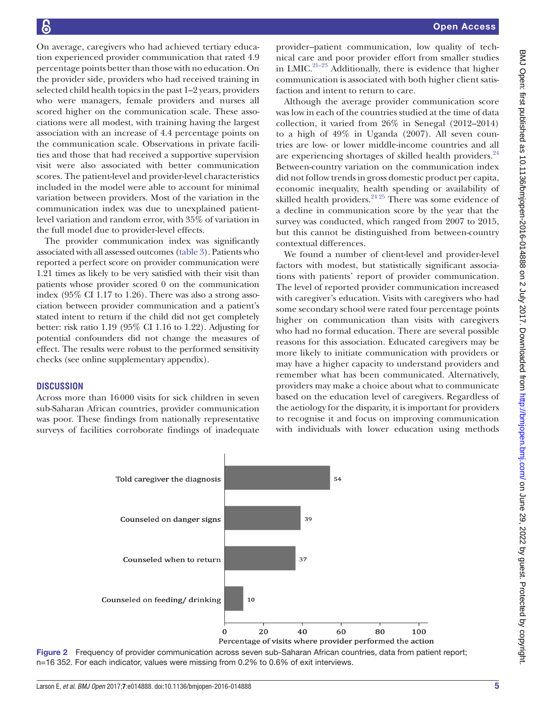On average, caregivers who had achieved tertiary education experienced provider communication that rated 4.9 percentage points better than those with no education. On the provider side, providers who had received training in selected child health topics in the past 1–2 years, providers who were managers, female providers and nurses all scored higher on the communication scale. These associations were all modest, with training having the largest association with an increase of 4.4 percentage points on the communication scale. Observations in private facilities and those that had received a supportive supervision visit were also associated with better communication scores. The patient-level and provider-level characteristics included in the model were able to account for minimal variation between providers. Most of the variation in the communication index was due to unexplained patientlevel variation and random error, with 35% of variation in the full model due to provider-level effects.

The provider communication index was significantly associated with all assessed outcomes [\(table](#page-6-0) 3). Patients who reported a perfect score on provider communication were 1.21 times as likely to be very satisfied with their visit than patients whose provider scored 0 on the communication index (95% CI 1.17 to 1.26). There was also a strong association between provider communication and a patient's stated intent to return if the child did not get completely better: risk ratio 1.19 (95% CI 1.16 to 1.22). Adjusting for potential confounders did not change the measures of effect. The results were robust to the performed sensitivity checks (see online [supplementary appendix\)](https://dx.doi.org/10.1136/bmjopen-2016-014888).

#### **Discussion**

Across more than 16000 visits for sick children in seven sub-Saharan African countries, provider communication was poor. These findings from nationally representative surveys of facilities corroborate findings of inadequate

provider–patient communication, low quality of technical care and poor provider effort from smaller studies in LMIC. $^{21-23}$  Additionally, there is evidence that higher communication is associated with both higher client satisfaction and intent to return to care.

Although the average provider communication score was low in each of the countries studied at the time of data collection, it varied from 26% in Senegal (2012–2014) to a high of 49% in Uganda (2007). All seven countries are low- or lower middle-income countries and all are experiencing shortages of skilled health providers.<sup>[24](#page-8-1)</sup> Between-country variation on the communication index did not follow trends in gross domestic product per capita, economic inequality, health spending or availability of skilled health providers.  $24\frac{25}{125}$  There was some evidence of a decline in communication score by the year that the survey was conducted, which ranged from 2007 to 2015, but this cannot be distinguished from between-country contextual differences.

We found a number of client-level and provider-level factors with modest, but statistically significant associations with patients' report of provider communication. The level of reported provider communication increased with caregiver's education. Visits with caregivers who had some secondary school were rated four percentage points higher on communication than visits with caregivers who had no formal education. There are several possible reasons for this association. Educated caregivers may be more likely to initiate communication with providers or may have a higher capacity to understand providers and remember what has been communicated. Alternatively, providers may make a choice about what to communicate based on the education level of caregivers. Regardless of the aetiology for the disparity, it is important for providers to recognise it and focus on improving communication with individuals with lower education using methods



<span id="page-4-0"></span>Figure 2 Frequency of provider communication across seven sub-Saharan African countries, data from patient report; n=16 352. For each indicator, values were missing from 0.2% to 0.6% of exit interviews.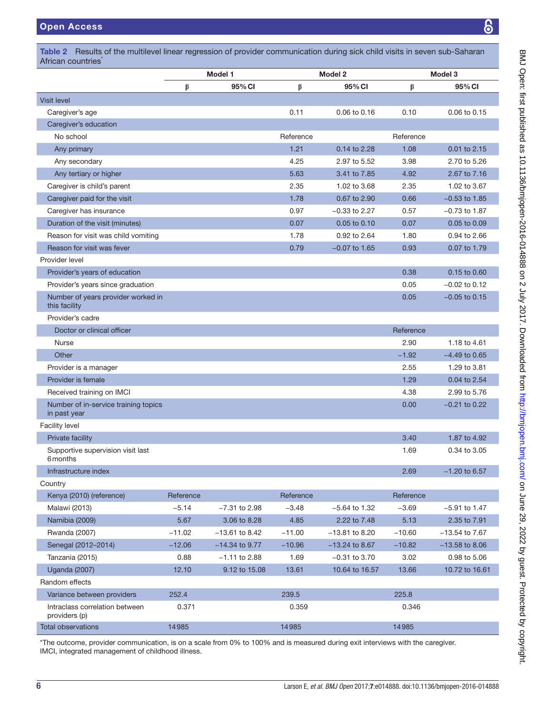African

BMJ Open: first published as 10.1136/bmjopen-2016-01488 on 2 July 2017. Downloaded from <http://bmjopen.bmj.com/> on June 29, 2022 by guest. Protected by copyright.

BMJ Open: first published as 10.1136/bmjopen-2016-014888 on 2 July 2017. Downloaded from http://bmjopen.bmj.com/ on June 29, 2022 by guest. Protected by copyright.

| Allicali coulitiles                                  |           | Model 1          |           | Model 2          |           | Model 3            |
|------------------------------------------------------|-----------|------------------|-----------|------------------|-----------|--------------------|
|                                                      | β         | 95% CI           | β         | 95% CI           | β         | 95% CI             |
| <b>Visit level</b>                                   |           |                  |           |                  |           |                    |
| Caregiver's age                                      |           |                  | 0.11      | 0.06 to 0.16     | 0.10      | 0.06 to 0.15       |
| Caregiver's education                                |           |                  |           |                  |           |                    |
| No school                                            |           |                  | Reference |                  | Reference |                    |
| Any primary                                          |           |                  | 1.21      | 0.14 to 2.28     | 1.08      | 0.01 to 2.15       |
| Any secondary                                        |           |                  | 4.25      | 2.97 to 5.52     | 3.98      | 2.70 to 5.26       |
| Any tertiary or higher                               |           |                  | 5.63      | 3.41 to 7.85     | 4.92      | 2.67 to 7.16       |
| Caregiver is child's parent                          |           |                  | 2.35      | 1.02 to 3.68     | 2.35      | 1.02 to 3.67       |
| Caregiver paid for the visit                         |           |                  | 1.78      | 0.67 to 2.90     | 0.66      | $-0.53$ to 1.85    |
| Caregiver has insurance                              |           |                  | 0.97      | $-0.33$ to 2.27  | 0.57      | $-0.73$ to 1.87    |
| Duration of the visit (minutes)                      |           |                  | 0.07      | 0.05 to 0.10     | 0.07      | 0.05 to 0.09       |
| Reason for visit was child vomiting                  |           |                  | 1.78      | 0.92 to 2.64     | 1.80      | 0.94 to 2.66       |
| Reason for visit was fever                           |           |                  | 0.79      | $-0.07$ to 1.65  | 0.93      | 0.07 to 1.79       |
| Provider level                                       |           |                  |           |                  |           |                    |
| Provider's years of education                        |           |                  |           |                  | 0.38      | $0.15$ to $0.60$   |
| Provider's years since graduation                    |           |                  |           |                  | 0.05      | $-0.02$ to 0.12    |
| Number of years provider worked in<br>this facility  |           |                  |           |                  | 0.05      | $-0.05$ to 0.15    |
| Provider's cadre                                     |           |                  |           |                  |           |                    |
| Doctor or clinical officer                           |           |                  |           |                  | Reference |                    |
| Nurse                                                |           |                  |           |                  | 2.90      | 1.18 to 4.61       |
| Other                                                |           |                  |           |                  | $-1.92$   | $-4.49$ to 0.65    |
| Provider is a manager                                |           |                  |           |                  | 2.55      | 1.29 to 3.81       |
| Provider is female                                   |           |                  |           |                  | 1.29      | 0.04 to 2.54       |
| Received training on IMCI                            |           |                  |           |                  | 4.38      | 2.99 to 5.76       |
| Number of in-service training topics<br>in past year |           |                  |           |                  | 0.00      | $-0.21$ to 0.22    |
| <b>Facility level</b>                                |           |                  |           |                  |           |                    |
| Private facility                                     |           |                  |           |                  | 3.40      | 1.87 to 4.92       |
| Supportive supervision visit last<br>6 months        |           |                  |           |                  | 1.69      | 0.34 to 3.05       |
| Infrastructure index                                 |           |                  |           |                  | 2.69      | $-1.20$ to 6.57    |
| Country                                              |           |                  |           |                  |           |                    |
| Kenya (2010) (reference)                             | Reference |                  | Reference |                  | Reference |                    |
| Malawi (2013)                                        | $-5.14$   | $-7.31$ to 2.98  | $-3.48$   | $-5.64$ to 1.32  | $-3.69$   | $-5.91$ to 1.47    |
| Namibia (2009)                                       | 5.67      | 3.06 to 8.28     | 4.85      | 2.22 to 7.48     | 5.13      | 2.35 to 7.91       |
| Rwanda (2007)                                        | $-11.02$  | $-13.61$ to 8.42 | $-11.00$  | $-13.81$ to 8.20 | $-10.60$  | $-13.54$ to $7.67$ |
| Senegal (2012-2014)                                  | $-12.06$  | $-14.34$ to 9.77 | $-10.96$  | $-13.24$ to 8.67 | $-10.82$  | $-13.58$ to 8.06   |
| Tanzania (2015)                                      | 0.88      | $-1.11$ to 2.88  | 1.69      | –0.31 to 3.70    | 3.02      | 0.98 to 5.06       |
| <b>Uganda (2007)</b>                                 | 12.10     | 9.12 to 15.08    | 13.61     | 10.64 to 16.57   | 13.66     | 10.72 to 16.61     |
| Random effects                                       |           |                  |           |                  |           |                    |
| Variance between providers                           | 252.4     |                  | 239.5     |                  | 225.8     |                    |
| Intraclass correlation between<br>providers (p)      | 0.371     |                  | 0.359     |                  | 0.346     |                    |
| <b>Total observations</b>                            | 14985     |                  | 14985     |                  | 14985     |                    |

<span id="page-5-0"></span>Table 2 Results of the multilevel linear regression of provider communication during sick child visits in seven sub-Saharan

\*The outcome, provider communication, is on a scale from 0% to 100% and is measured during exit interviews with the caregiver. IMCI, integrated management of childhood illness.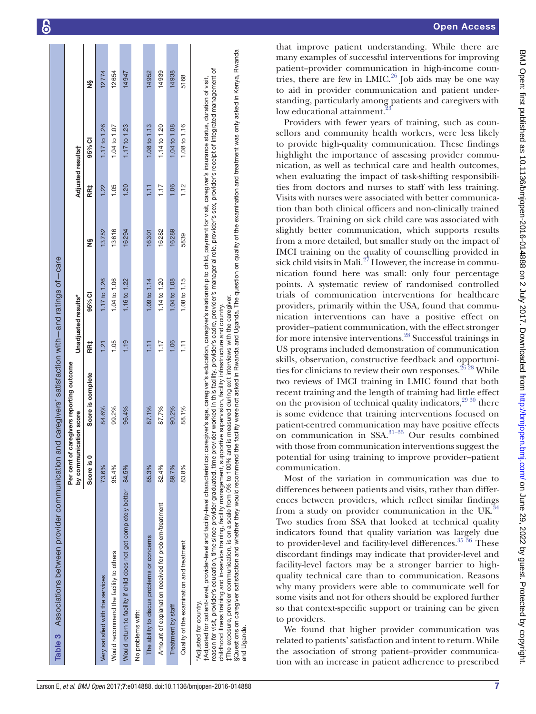| Table 3 Associations between provider communication and caregivers' satisfaction with-and ratings of-care                                                                                                                                                                                                                                                                                                                                                                                                                                                                                                                                                                                                                                                                                                                                                                                                                                                                           |                        |                                          |                     |              |        |                   |              |        |
|-------------------------------------------------------------------------------------------------------------------------------------------------------------------------------------------------------------------------------------------------------------------------------------------------------------------------------------------------------------------------------------------------------------------------------------------------------------------------------------------------------------------------------------------------------------------------------------------------------------------------------------------------------------------------------------------------------------------------------------------------------------------------------------------------------------------------------------------------------------------------------------------------------------------------------------------------------------------------------------|------------------------|------------------------------------------|---------------------|--------------|--------|-------------------|--------------|--------|
|                                                                                                                                                                                                                                                                                                                                                                                                                                                                                                                                                                                                                                                                                                                                                                                                                                                                                                                                                                                     | by communication score | Per cent of caregivers reporting outcome | Unadjusted results* |              |        | Adjusted resultst |              |        |
|                                                                                                                                                                                                                                                                                                                                                                                                                                                                                                                                                                                                                                                                                                                                                                                                                                                                                                                                                                                     | Score is 0             | Score is complete                        | RR‡                 | 95% CI       | s<br>S | RR‡               | 95% CI       | S<br>S |
| Very satisfied with the services                                                                                                                                                                                                                                                                                                                                                                                                                                                                                                                                                                                                                                                                                                                                                                                                                                                                                                                                                    | 73.6%                  | 84.6%                                    | 1.21                | 1.17 to 1.26 | 13752  | 1.22              | 1.17 to 1.26 | 12774  |
| Would recommend the facility to others                                                                                                                                                                                                                                                                                                                                                                                                                                                                                                                                                                                                                                                                                                                                                                                                                                                                                                                                              | 95.4%                  | 99.2%                                    | 1.05                | 1.04 to 1.06 | 13616  | 1.05              | 1.04 to 1.07 | 12654  |
| Would return to facility if child does not get completely better 84.5%                                                                                                                                                                                                                                                                                                                                                                                                                                                                                                                                                                                                                                                                                                                                                                                                                                                                                                              |                        | 96.4%                                    | 1.19                | 1.16 to 1.22 | 16294  | 1.20              | 1.17 to 1.23 | 14947  |
| No problems with:                                                                                                                                                                                                                                                                                                                                                                                                                                                                                                                                                                                                                                                                                                                                                                                                                                                                                                                                                                   |                        |                                          |                     |              |        |                   |              |        |
| The ability to discus problems or concerns                                                                                                                                                                                                                                                                                                                                                                                                                                                                                                                                                                                                                                                                                                                                                                                                                                                                                                                                          | 85.3%                  | 87.1%                                    | $\overline{1}$      | 1.09 to 1.14 | 16301  | Ē                 | 1.08 to 1.13 | 14952  |
| Amount of explanation received for problem/treatment                                                                                                                                                                                                                                                                                                                                                                                                                                                                                                                                                                                                                                                                                                                                                                                                                                                                                                                                | 82.4%                  | 87.7%                                    | 1.17                | 1.14 to 1.20 | 16282  | 1.17              | 1.14 to 1.20 | 14939  |
| Treatment by staff                                                                                                                                                                                                                                                                                                                                                                                                                                                                                                                                                                                                                                                                                                                                                                                                                                                                                                                                                                  | 89.7%                  | 90.2%                                    | 1.06                | 1.04 to 1.08 | 16289  | 1.06              | 1.04 to 1.08 | 14938  |
| Quality of the examination and treatment                                                                                                                                                                                                                                                                                                                                                                                                                                                                                                                                                                                                                                                                                                                                                                                                                                                                                                                                            | 83.8%                  | 88.1%                                    | Ξ                   | 1.08 to 1.15 | 5839   | 1.12              | 1.08 to 1.16 | 5168   |
| §Questions on caregiver satisfaction and whether they would recommend the facility were not asked in Rwanda and Uganda. The question on quality of the examination and treatment was only asked in Kenya, Rwanda<br>reason for visit, provider's education, time since provide provide to the provider worked in this facility, provider's cadre, provider's managerial role, provider's sex, provider's receipt of integrated management of<br>tAdjusted for patient-level, provider-level and facility-level characteristics: caregiver's age, caregiver's education, caregiver's relationship to child, payment for visit, caregiver's insurance status, duration of visit,<br>‡The exposure, provider communication, is on a scale from 0% to 100% and is measured during exit interviews with the caregiver.<br>childhood illness training and in-service training, facility management, supportive supervision, facility infrastructure and country.<br>Adjusted for country. |                        |                                          |                     |              |        |                   |              |        |

and Uganda.

<span id="page-6-0"></span>and Uganda

that improve patient understanding. While there are many examples of successful interventions for improving patient–provider communication in high-income coun tries, there are few in LMIC. $^{26}$  Job aids may be one way to aid in provider communication and patient understanding, particularly among patients and caregivers with low educational attainment.<sup>3</sup>

Providers with fewer years of training, such as coun sellors and community health workers, were less likely to provide high-quality communication. These findings highlight the importance of assessing provider communication, as well as technical care and health outcomes, when evaluating the impact of task-shifting responsibili ties from doctors and nurses to staff with less training. Visits with nurses were associated with better communication than both clinical officers and non-clinically trained providers. Training on sick child care was associated with slightly better communication, which supports results from a more detailed, but smaller study on the impact of IMCI training on the quality of counselling provided in sick child visits in Mali.<sup>27</sup> However, the increase in communication found here was small: only four percentage points. A systematic review of randomised controlled trials of communication interventions for healthcare providers, primarily within the USA, found that commu nication interventions can have a positive effect on provider–patient communication, with the effect stronger for more intensive interventions.<sup>28</sup> Successful trainings in US programs included demonstration of communication skills, observation, constructive feedback and opportuni ties for clinicians to review their own responses.  $26\frac{26}{8}$  While two reviews of IMCI training in LMIC found that both recent training and the length of training had little effect on the provision of technical quality indicators,  $2930$  there is some evidence that training interventions focused on patient-centred communication may have positive effects on communication in  $SSA$ ,  $31-33$  Our results combined with those from communication interventions suggest the potential for using training to improve provider–patient communication.

Most of the variation in communication was due to differences between patients and visits, rather than differences between providers, which reflect similar findings from a study on provider communication in the UK. $34$ Two studies from SSA that looked at technical quality indicators found that quality variation was largely due to provider-level and facility-level differences.<sup>35 36</sup> These discordant findings may indicate that provider-level and facility-level factors may be a stronger barrier to highquality technical care than to communication. Reasons why many providers were able to communicate well for some visits and not for others should be explored further so that context-specific support or training can be given to providers.

We found that higher provider communication was related to patients' satisfaction and intent to return. While the association of strong patient–provider communication with an increase in patient adherence to prescribed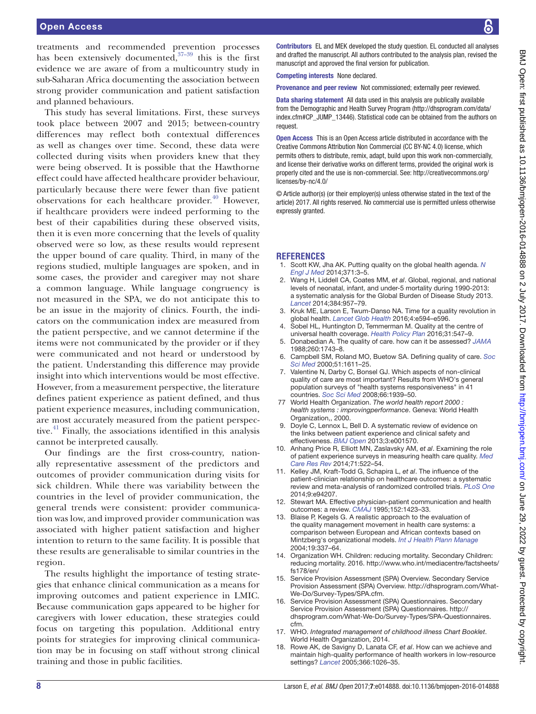treatments and recommended prevention processes has been extensively documented, $37-39$  this is the first evidence we are aware of from a multicountry study in sub-Saharan Africa documenting the association between strong provider communication and patient satisfaction and planned behaviours.

This study has several limitations. First, these surveys took place between 2007 and 2015; between-country differences may reflect both contextual differences as well as changes over time. Second, these data were collected during visits when providers knew that they were being observed. It is possible that the Hawthorne effect could have affected healthcare provider behaviour, particularly because there were fewer than five patient observations for each healthcare provider. $40$  However, if healthcare providers were indeed performing to the best of their capabilities during these observed visits, then it is even more concerning that the levels of quality observed were so low, as these results would represent the upper bound of care quality. Third, in many of the regions studied, multiple languages are spoken, and in some cases, the provider and caregiver may not share a common language. While language congruency is not measured in the SPA, we do not anticipate this to be an issue in the majority of clinics. Fourth, the indicators on the communication index are measured from the patient perspective, and we cannot determine if the items were not communicated by the provider or if they were communicated and not heard or understood by the patient. Understanding this difference may provide insight into which interventions would be most effective. However, from a measurement perspective, the literature defines patient experience as patient defined, and thus patient experience measures, including communication, are most accurately measured from the patient perspective.<sup>41</sup> Finally, the associations identified in this analysis cannot be interpreted causally.

Our findings are the first cross-country, nationally representative assessment of the predictors and outcomes of provider communication during visits for sick children. While there was variability between the countries in the level of provider communication, the general trends were consistent: provider communication was low, and improved provider communication was associated with higher patient satisfaction and higher intention to return to the same facility. It is possible that these results are generalisable to similar countries in the region.

The results highlight the importance of testing strategies that enhance clinical communication as a means for improving outcomes and patient experience in LMIC. Because communication gaps appeared to be higher for caregivers with lower education, these strategies could focus on targeting this population. Additional entry points for strategies for improving clinical communication may be in focusing on staff without strong clinical training and those in public facilities.

Contributors EL and MEK developed the study question. EL conducted all analyses and drafted the manuscript. All authors contributed to the analysis plan, revised the manuscript and approved the final version for publication.

Competing interests None declared.

Provenance and peer review Not commissioned; externally peer reviewed.

Data sharing statement All data used in this analysis are publically available from the Demographic and Health Survey Program [\(http://dhsprogram.com/data/](http://dhsprogram.com/data/index.cfm#CP_JUMP_13446) [index.cfm#CP\\_JUMP\\_13446](http://dhsprogram.com/data/index.cfm#CP_JUMP_13446)). Statistical code can be obtained from the authors on request.

Open Access This is an Open Access article distributed in accordance with the Creative Commons Attribution Non Commercial (CC BY-NC 4.0) license, which permits others to distribute, remix, adapt, build upon this work non-commercially, and license their derivative works on different terms, provided the original work is properly cited and the use is non-commercial. See: [http://creativecommons.org/](http://creativecommons.org/licenses/by-nc/4.0/) [licenses/by-nc/4.0/](http://creativecommons.org/licenses/by-nc/4.0/)

© Article author(s) (or their employer(s) unless otherwise stated in the text of the article) 2017. All rights reserved. No commercial use is permitted unless otherwise expressly granted.

#### **References**

- <span id="page-7-0"></span>1. Scott KW, Jha AK. Putting quality on the global health agenda. *[N](http://dx.doi.org/10.1056/NEJMp1402157)  [Engl J Med](http://dx.doi.org/10.1056/NEJMp1402157)* 2014;371:3–5.
- <span id="page-7-1"></span>2. Wang H, Liddell CA, Coates MM, *et al*. Global, regional, and national levels of neonatal, infant, and under-5 mortality during 1990-2013: a systematic analysis for the Global Burden of Disease Study 2013. *[Lancet](http://dx.doi.org/10.1016/S0140-6736(14)60497-9)* 2014;384:957–79.
- <span id="page-7-2"></span>3. Kruk ME, Larson E, Twum-Danso NA. Time for a quality revolution in global health. *[Lancet Glob Health](http://dx.doi.org/10.1016/S2214-109X(16)30131-0)* 2016;4:e594–e596.
- Sobel HL, Huntington D, Temmerman M. Quality at the centre of universal health coverage. *[Health Policy Plan](http://dx.doi.org/10.1093/heapol/czv095)* 2016;31:547–9.
- <span id="page-7-3"></span>5. Donabedian A. The quality of care. how can it be assessed? *JAMA* 1988;260:1743–8.
- <span id="page-7-4"></span>6. Campbell SM, Roland MO, Buetow SA. Defining quality of care. *[Soc](http://dx.doi.org/10.1016/S0277-9536(00)00057-5)  [Sci Med](http://dx.doi.org/10.1016/S0277-9536(00)00057-5)* 2000;51:1611–25.
- <span id="page-7-5"></span>7. Valentine N, Darby C, Bonsel GJ. Which aspects of non-clinical quality of care are most important? Results from WHO's general population surveys of "health systems responsiveness" in 41 countries. *[Soc Sci Med](http://dx.doi.org/10.1016/j.socscimed.2007.12.002)* 2008;66:1939–50.
- <span id="page-7-6"></span>77 World Health Organization. *The world health report 2000 : health systems : improvingperformance*. Geneva: World Health Organization,, 2000.
- <span id="page-7-7"></span>Doyle C, Lennox L, Bell D. A systematic review of evidence on the links between patient experience and clinical safety and effectiveness. *[BMJ Open](http://dx.doi.org/10.1136/bmjopen-2012-001570)* 2013;3:e001570.
- 10. Anhang Price R, Elliott MN, Zaslavsky AM, *et al*. Examining the role of patient experience surveys in measuring health care quality. *[Med](http://dx.doi.org/10.1177/1077558714541480)  [Care Res Rev](http://dx.doi.org/10.1177/1077558714541480)* 2014;71:522–54.
- <span id="page-7-8"></span>11. Kelley JM, Kraft-Todd G, Schapira L, *et al*. The influence of the patient-clinician relationship on healthcare outcomes: a systematic review and meta-analysis of randomized controlled trials. *[PLoS One](http://dx.doi.org/10.1371/journal.pone.0094207)* 2014;9:e94207.
- 12. Stewart MA. Effective physician-patient communication and health outcomes: a review. *CMAJ* 1995;152:1423–33.
- <span id="page-7-9"></span>13. Blaise P, Kegels G. A realistic approach to the evaluation of the quality management movement in health care systems: a comparison between European and African contexts based on Mintzberg's organizational models. *[Int J Health Plann Manage](http://dx.doi.org/10.1002/hpm.769)* 2004;19:337–64.
- 14. Organization WH. Children: reducing mortality. Secondary Children: reducing mortality. 2016. [http://www.who.int/mediacentre/factsheets/](http://www.who.int/mediacentre/factsheets/fs178/en/) [fs178/en/](http://www.who.int/mediacentre/factsheets/fs178/en/)
- <span id="page-7-10"></span>15. Service Provision Assessment (SPA) Overview. Secondary Service Provision Assessment (SPA) Overview. [http://dhsprogram.com/What-](http://dhsprogram.com/What-We-Do/Survey-Types/SPA.cfm)[We-Do/Survey-Types/SPA.cfm](http://dhsprogram.com/What-We-Do/Survey-Types/SPA.cfm).
- <span id="page-7-11"></span>16. Service Provision Assessment (SPA) Questionnaires. Secondary Service Provision Assessment (SPA) Questionnaires. [http://](http://dhsprogram.com/What-We-Do/Survey-Types/SPA-Questionnaires.cfm) [dhsprogram.com/What-We-Do/Survey-Types/SPA-Questionnaires.](http://dhsprogram.com/What-We-Do/Survey-Types/SPA-Questionnaires.cfm) [cfm.](http://dhsprogram.com/What-We-Do/Survey-Types/SPA-Questionnaires.cfm)
- <span id="page-7-12"></span>17. WHO. *Integrated management of childhood illness Chart Booklet*. World Health Organization, 2014.
- <span id="page-7-13"></span>18. Rowe AK, de Savigny D, Lanata CF, *et al*. How can we achieve and maintain high-quality performance of health workers in low-resource settings? *[Lancet](http://dx.doi.org/10.1016/S0140-6736(05)67028-6)* 2005;366:1026–35.